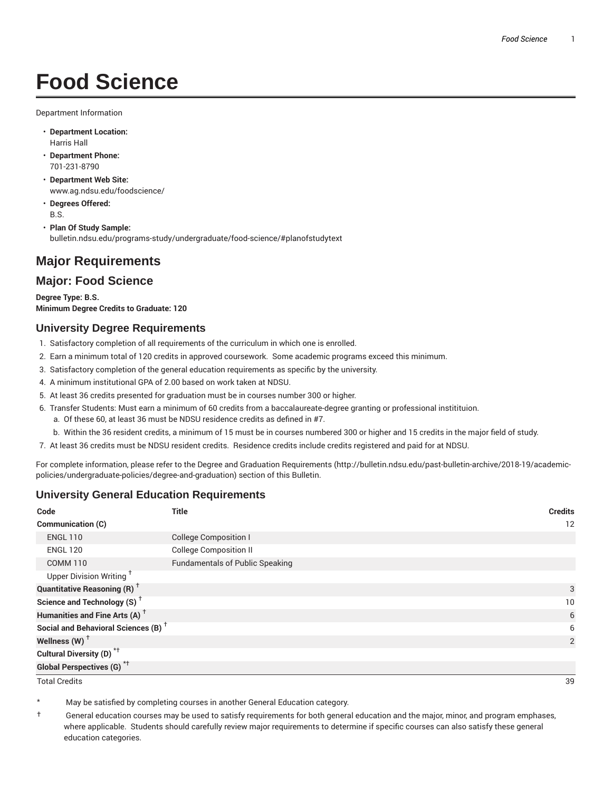# **Food Science**

Department Information

- **Department Location:** Harris Hall
- **Department Phone:** 701-231-8790
- **Department Web Site:** www.ag.ndsu.edu/foodscience/
- **Degrees Offered:** B.S.
- **Plan Of Study Sample:** bulletin.ndsu.edu/programs-study/undergraduate/food-science/#planofstudytext

## **Major Requirements**

### **Major: Food Science**

**Degree Type: B.S. Minimum Degree Credits to Graduate: 120**

#### **University Degree Requirements**

- 1. Satisfactory completion of all requirements of the curriculum in which one is enrolled.
- 2. Earn a minimum total of 120 credits in approved coursework. Some academic programs exceed this minimum.
- 3. Satisfactory completion of the general education requirements as specific by the university.
- 4. A minimum institutional GPA of 2.00 based on work taken at NDSU.
- 5. At least 36 credits presented for graduation must be in courses number 300 or higher.
- 6. Transfer Students: Must earn a minimum of 60 credits from a baccalaureate-degree granting or professional institituion.
	- a. Of these 60, at least 36 must be NDSU residence credits as defined in #7.
	- b. Within the 36 resident credits, a minimum of 15 must be in courses numbered 300 or higher and 15 credits in the major field of study.
- 7. At least 36 credits must be NDSU resident credits. Residence credits include credits registered and paid for at NDSU.

For complete information, please refer to the Degree and Graduation Requirements (http://bulletin.ndsu.edu/past-bulletin-archive/2018-19/academicpolicies/undergraduate-policies/degree-and-graduation) section of this Bulletin.

#### **University General Education Requirements**

| Code                                            | <b>Title</b>                           | <b>Credits</b> |
|-------------------------------------------------|----------------------------------------|----------------|
| Communication (C)                               |                                        | 12             |
| <b>ENGL 110</b>                                 | <b>College Composition I</b>           |                |
| <b>ENGL 120</b>                                 | <b>College Composition II</b>          |                |
| <b>COMM 110</b>                                 | <b>Fundamentals of Public Speaking</b> |                |
| Upper Division Writing <sup>+</sup>             |                                        |                |
| <b>Quantitative Reasoning (R)</b> <sup>†</sup>  |                                        | 3              |
| Science and Technology (S) <sup>+</sup>         |                                        | 10             |
| Humanities and Fine Arts (A) <sup>+</sup>       |                                        | 6              |
| Social and Behavioral Sciences (B) <sup>+</sup> |                                        | 6              |
| Wellness $(W)$ <sup>+</sup>                     |                                        | 2              |
| Cultural Diversity (D) <sup>*†</sup>            |                                        |                |
| <b>Global Perspectives (G)<sup>*†</sup></b>     |                                        |                |

Total Credits 39

May be satisfied by completing courses in another General Education category.

† General education courses may be used to satisfy requirements for both general education and the major, minor, and program emphases, where applicable. Students should carefully review major requirements to determine if specific courses can also satisfy these general education categories.